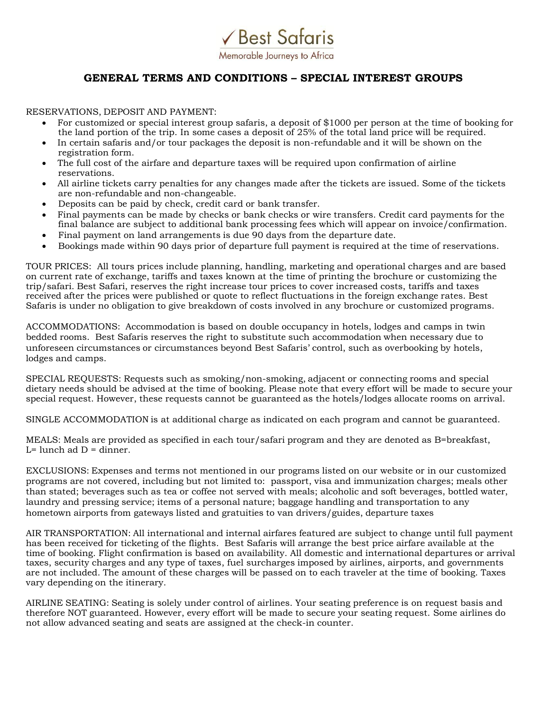Memorable Journeys to Africa

√ Best Safaris

## **GENERAL TERMS AND CONDITIONS – SPECIAL INTEREST GROUPS**

RESERVATIONS, DEPOSIT AND PAYMENT:

- For customized or special interest group safaris, a deposit of \$1000 per person at the time of booking for the land portion of the trip. In some cases a deposit of 25% of the total land price will be required.
- In certain safaris and/or tour packages the deposit is non-refundable and it will be shown on the registration form.
- The full cost of the airfare and departure taxes will be required upon confirmation of airline reservations.
- All airline tickets carry penalties for any changes made after the tickets are issued. Some of the tickets are non-refundable and non-changeable.
- Deposits can be paid by check, credit card or bank transfer.
- Final payments can be made by checks or bank checks or wire transfers. Credit card payments for the final balance are subject to additional bank processing fees which will appear on invoice/confirmation.
- Final payment on land arrangements is due 90 days from the departure date.
- Bookings made within 90 days prior of departure full payment is required at the time of reservations.

TOUR PRICES: All tours prices include planning, handling, marketing and operational charges and are based on current rate of exchange, tariffs and taxes known at the time of printing the brochure or customizing the trip/safari. Best Safari, reserves the right increase tour prices to cover increased costs, tariffs and taxes received after the prices were published or quote to reflect fluctuations in the foreign exchange rates. Best Safaris is under no obligation to give breakdown of costs involved in any brochure or customized programs.

ACCOMMODATIONS: Accommodation is based on double occupancy in hotels, lodges and camps in twin bedded rooms. Best Safaris reserves the right to substitute such accommodation when necessary due to unforeseen circumstances or circumstances beyond Best Safaris' control, such as overbooking by hotels, lodges and camps.

SPECIAL REQUESTS: Requests such as smoking/non-smoking, adjacent or connecting rooms and special dietary needs should be advised at the time of booking. Please note that every effort will be made to secure your special request. However, these requests cannot be guaranteed as the hotels/lodges allocate rooms on arrival.

SINGLE ACCOMMODATION is at additional charge as indicated on each program and cannot be guaranteed.

MEALS: Meals are provided as specified in each tour/safari program and they are denoted as B=breakfast,  $L =$  lunch ad  $D =$  dinner.

EXCLUSIONS: Expenses and terms not mentioned in our programs listed on our website or in our customized programs are not covered, including but not limited to: passport, visa and immunization charges; meals other than stated; beverages such as tea or coffee not served with meals; alcoholic and soft beverages, bottled water, laundry and pressing service; items of a personal nature; baggage handling and transportation to any hometown airports from gateways listed and gratuities to van drivers/guides, departure taxes

AIR TRANSPORTATION: All international and internal airfares featured are subject to change until full payment has been received for ticketing of the flights. Best Safaris will arrange the best price airfare available at the time of booking. Flight confirmation is based on availability. All domestic and international departures or arrival taxes, security charges and any type of taxes, fuel surcharges imposed by airlines, airports, and governments are not included. The amount of these charges will be passed on to each traveler at the time of booking. Taxes vary depending on the itinerary.

AIRLINE SEATING: Seating is solely under control of airlines. Your seating preference is on request basis and therefore NOT guaranteed. However, every effort will be made to secure your seating request. Some airlines do not allow advanced seating and seats are assigned at the check-in counter.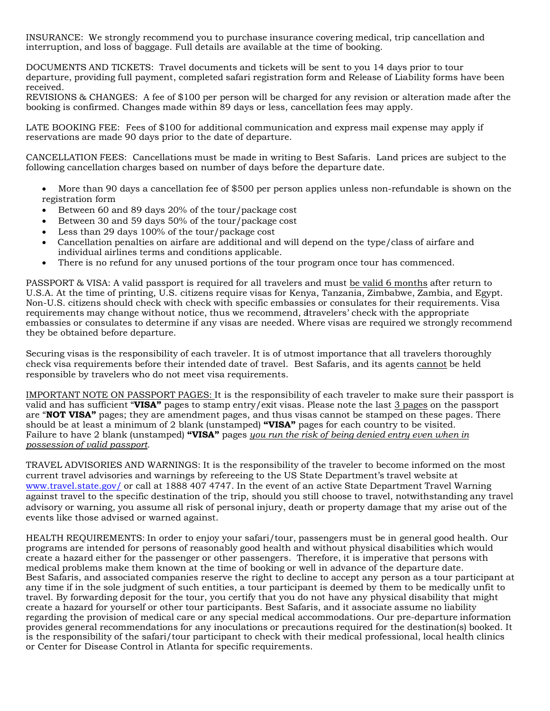INSURANCE: We strongly recommend you to purchase insurance covering medical, trip cancellation and interruption, and loss of baggage. Full details are available at the time of booking.

DOCUMENTS AND TICKETS: Travel documents and tickets will be sent to you 14 days prior to tour departure, providing full payment, completed safari registration form and Release of Liability forms have been received.

REVISIONS & CHANGES: A fee of \$100 per person will be charged for any revision or alteration made after the booking is confirmed. Changes made within 89 days or less, cancellation fees may apply.

LATE BOOKING FEE: Fees of \$100 for additional communication and express mail expense may apply if reservations are made 90 days prior to the date of departure.

CANCELLATION FEES: Cancellations must be made in writing to Best Safaris. Land prices are subject to the following cancellation charges based on number of days before the departure date.

- More than 90 days a cancellation fee of \$500 per person applies unless non-refundable is shown on the registration form
- Between 60 and 89 days 20% of the tour/package cost
- Between 30 and 59 days 50% of the tour/package cost
- Less than 29 days 100% of the tour/package cost
- Cancellation penalties on airfare are additional and will depend on the type/class of airfare and individual airlines terms and conditions applicable.
- There is no refund for any unused portions of the tour program once tour has commenced.

PASSPORT & VISA: A valid passport is required for all travelers and must be valid 6 months after return to U.S.A. At the time of printing, U.S. citizens require visas for Kenya, Tanzania, Zimbabwe, Zambia, and Egypt. Non-U.S. citizens should check with check with specific embassies or consulates for their requirements. Visa requirements may change without notice, thus we recommend, altravelers' check with the appropriate embassies or consulates to determine if any visas are needed. Where visas are required we strongly recommend they be obtained before departure.

Securing visas is the responsibility of each traveler. It is of utmost importance that all travelers thoroughly check visa requirements before their intended date of travel. Best Safaris, and its agents cannot be held responsible by travelers who do not meet visa requirements.

IMPORTANT NOTE ON PASSPORT PAGES: It is the responsibility of each traveler to make sure their passport is valid and has sufficient "**VISA"** pages to stamp entry/exit visas. Please note the last 3 pages on the passport are "**NOT VISA"** pages; they are amendment pages, and thus visas cannot be stamped on these pages. There should be at least a minimum of 2 blank (unstamped) **"VISA"** pages for each country to be visited. Failure to have 2 blank (unstamped) **"VISA"** pages *you run the risk of being denied entry even when in possession of valid passport.*

TRAVEL ADVISORIES AND WARNINGS: It is the responsibility of the traveler to become informed on the most current travel advisories and warnings by refereeing to the US State Department's travel website at [www.travel.state.gov/](http://www.travel.state.gov/) or call at 1888 407 4747. In the event of an active State [Department](http://www.travel.state.gov/) Travel Warning against travel to the specific destination of the trip, should you still choose to travel, notwithstanding any travel advisory or warning, you assume all risk of personal injury, death or property damage that my arise out of the events like those advised or warned against.

HEALTH REQUIREMENTS: In order to enjoy your safari/tour, passengers must be in general good health. Our programs are intended for persons of reasonably good health and without physical disabilities which would create a hazard either for the passenger or other passengers. Therefore, it is imperative that persons with medical problems make them known at the time of booking or well in advance of the departure date. Best Safaris, and associated companies reserve the right to decline to accept any person as a tour participant at any time if in the sole judgment of such entities, a tour participant is deemed by them to be medically unfit to travel. By forwarding deposit for the tour, you certify that you do not have any physical disability that might create a hazard for yourself or other tour participants. Best Safaris, and it associate assume no liability regarding the provision of medical care or any special medical accommodations. Our pre-departure information provides general recommendations for any inoculations or precautions required for the destination(s) booked. It is the responsibility of the safari/tour participant to check with their medical professional, local health clinics or Center for Disease Control in Atlanta for specific requirements.